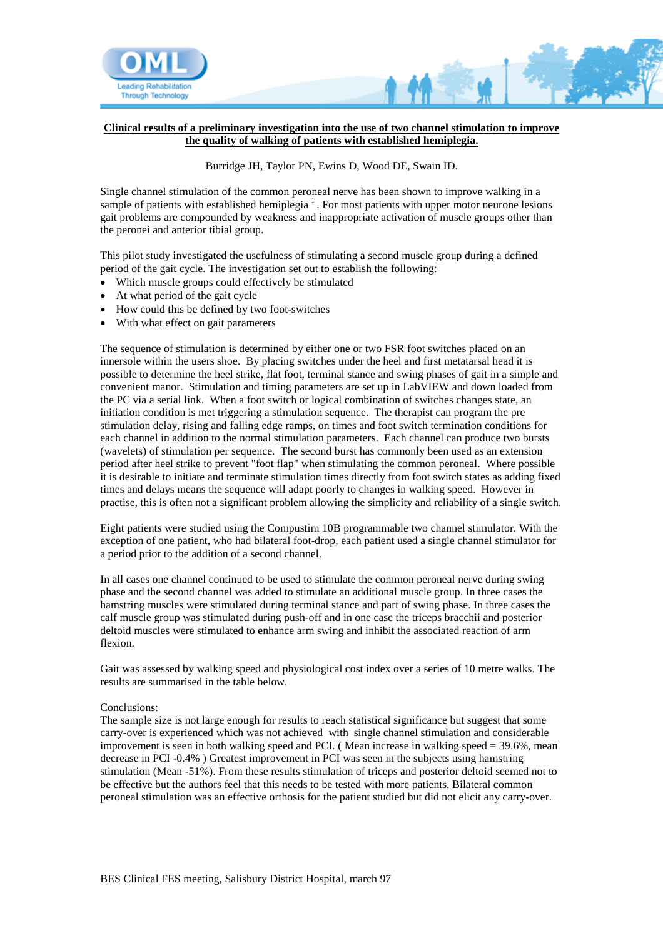

## **Clinical results of a preliminary investigation into the use of two channel stimulation to improve the quality of walking of patients with established hemiplegia.**

## Burridge JH, Taylor PN, Ewins D, Wood DE, Swain ID.

Single channel stimulation of the common peroneal nerve has been shown to improve walking in a sample of patients with established hemiplegia  $<sup>1</sup>$ . For most patients with upper motor neurone lesions</sup> gait problems are compounded by weakness and inappropriate activation of muscle groups other than the peronei and anterior tibial group.

This pilot study investigated the usefulness of stimulating a second muscle group during a defined period of the gait cycle. The investigation set out to establish the following:

- Which muscle groups could effectively be stimulated
- At what period of the gait cycle
- How could this be defined by two foot-switches
- With what effect on gait parameters

The sequence of stimulation is determined by either one or two FSR foot switches placed on an innersole within the users shoe. By placing switches under the heel and first metatarsal head it is possible to determine the heel strike, flat foot, terminal stance and swing phases of gait in a simple and convenient manor. Stimulation and timing parameters are set up in LabVIEW and down loaded from the PC via a serial link. When a foot switch or logical combination of switches changes state, an initiation condition is met triggering a stimulation sequence. The therapist can program the pre stimulation delay, rising and falling edge ramps, on times and foot switch termination conditions for each channel in addition to the normal stimulation parameters. Each channel can produce two bursts (wavelets) of stimulation per sequence. The second burst has commonly been used as an extension period after heel strike to prevent "foot flap" when stimulating the common peroneal. Where possible it is desirable to initiate and terminate stimulation times directly from foot switch states as adding fixed times and delays means the sequence will adapt poorly to changes in walking speed. However in practise, this is often not a significant problem allowing the simplicity and reliability of a single switch.

Eight patients were studied using the Compustim 10B programmable two channel stimulator. With the exception of one patient, who had bilateral foot-drop, each patient used a single channel stimulator for a period prior to the addition of a second channel.

In all cases one channel continued to be used to stimulate the common peroneal nerve during swing phase and the second channel was added to stimulate an additional muscle group. In three cases the hamstring muscles were stimulated during terminal stance and part of swing phase. In three cases the calf muscle group was stimulated during push-off and in one case the triceps bracchii and posterior deltoid muscles were stimulated to enhance arm swing and inhibit the associated reaction of arm flexion.

Gait was assessed by walking speed and physiological cost index over a series of 10 metre walks. The results are summarised in the table below.

## Conclusions:

The sample size is not large enough for results to reach statistical significance but suggest that some carry-over is experienced which was not achieved with single channel stimulation and considerable improvement is seen in both walking speed and PCI. ( Mean increase in walking speed = 39.6%, mean decrease in PCI -0.4% ) Greatest improvement in PCI was seen in the subjects using hamstring stimulation (Mean -51%). From these results stimulation of triceps and posterior deltoid seemed not to be effective but the authors feel that this needs to be tested with more patients. Bilateral common peroneal stimulation was an effective orthosis for the patient studied but did not elicit any carry-over.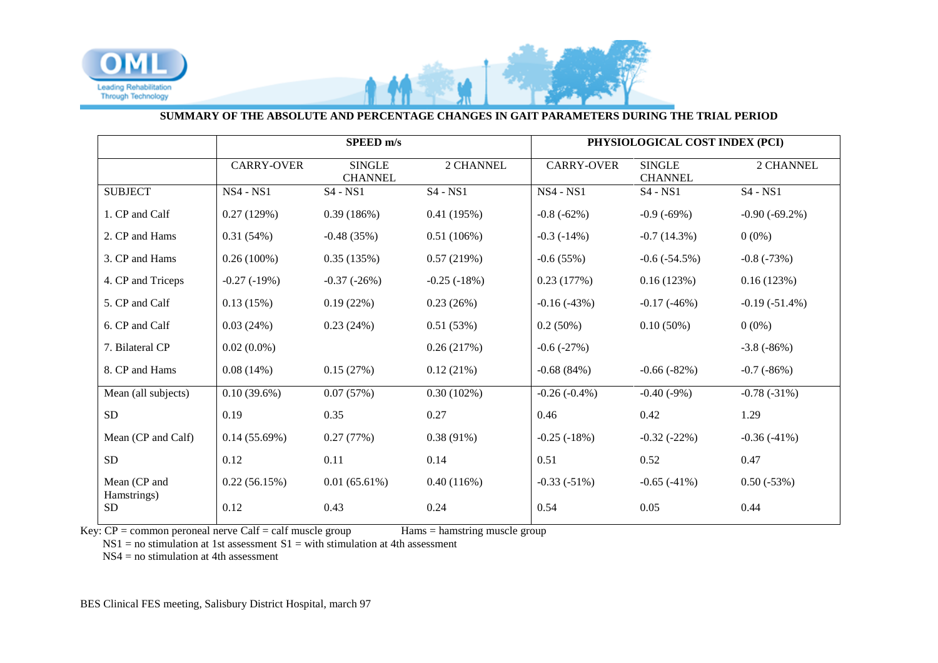

## **SUMMARY OF THE ABSOLUTE AND PERCENTAGE CHANGES IN GAIT PARAMETERS DURING THE TRIAL PERIOD**

|                             | SPEED m/s         |                                 |               | PHYSIOLOGICAL COST INDEX (PCI) |                                 |                  |
|-----------------------------|-------------------|---------------------------------|---------------|--------------------------------|---------------------------------|------------------|
|                             | <b>CARRY-OVER</b> | <b>SINGLE</b><br><b>CHANNEL</b> | 2 CHANNEL     | <b>CARRY-OVER</b>              | <b>SINGLE</b><br><b>CHANNEL</b> | 2 CHANNEL        |
| <b>SUBJECT</b>              | <b>NS4 - NS1</b>  | $S4 - NS1$                      | $S4 - NS1$    | <b>NS4 - NS1</b>               | $S4 - NS1$                      | $S4 - NS1$       |
| 1. CP and Calf              | 0.27(129%)        | 0.39(186%)                      | 0.41(195%)    | $-0.8(-62%)$                   | $-0.9(-69%)$                    | $-0.90(-69.2\%)$ |
| 2. CP and Hams              | 0.31(54%)         | $-0.48(35%)$                    | 0.51(106%)    | $-0.3(-14%)$                   | $-0.7(14.3%)$                   | $0(0\%)$         |
| 3. CP and Hams              | $0.26(100\%)$     | 0.35(135%)                      | 0.57(219%)    | $-0.6(55%)$                    | $-0.6$ $(-54.5\%)$              | $-0.8(-73%)$     |
| 4. CP and Triceps           | $-0.27(-19%)$     | $-0.37(-26%)$                   | $-0.25(-18%)$ | 0.23(177%)                     | 0.16(123%)                      | 0.16(123%)       |
| 5. CP and Calf              | 0.13(15%)         | 0.19(22%)                       | 0.23(26%)     | $-0.16(-43%)$                  | $-0.17(-46%)$                   | $-0.19(-51.4\%)$ |
| 6. CP and Calf              | 0.03(24%)         | 0.23(24%)                       | 0.51(53%)     | 0.2(50%)                       | $0.10(50\%)$                    | $0(0\%)$         |
| 7. Bilateral CP             | $0.02(0.0\%)$     |                                 | 0.26(217%)    | $-0.6(-27%)$                   |                                 | $-3.8(-86%)$     |
| 8. CP and Hams              | 0.08(14%)         | 0.15(27%)                       | 0.12(21%)     | $-0.68(84%)$                   | $-0.66(-82%)$                   | $-0.7(-86%)$     |
| Mean (all subjects)         | $0.10(39.6\%)$    | 0.07(57%)                       | 0.30(102%)    | $-0.26(-0.4\%)$                | $-0.40(-9%)$                    | $-0.78(-31%)$    |
| ${\rm SD}$                  | 0.19              | 0.35                            | 0.27          | 0.46                           | 0.42                            | 1.29             |
| Mean (CP and Calf)          | 0.14(55.69%)      | 0.27(77%)                       | $0.38(91\%)$  | $-0.25(-18%)$                  | $-0.32(-22%)$                   | $-0.36(-41%)$    |
| ${\rm SD}$                  | 0.12              | 0.11                            | 0.14          | 0.51                           | 0.52                            | 0.47             |
| Mean (CP and<br>Hamstrings) | 0.22(56.15%)      | 0.01(65.61%)                    | 0.40(116%)    | $-0.33(-51%)$                  | $-0.65(-41%)$                   | $0.50(-53%)$     |
| <b>SD</b>                   | 0.12              | 0.43                            | 0.24          | 0.54                           | 0.05                            | 0.44             |

 $Key: CP = common$  peroneal nerve Calf = calf muscle group Hams = hamstring muscle group

 $NS1 = no$  stimulation at 1st assessment  $S1 = with$  stimulation at 4th assessment

NS4 = no stimulation at 4th assessment